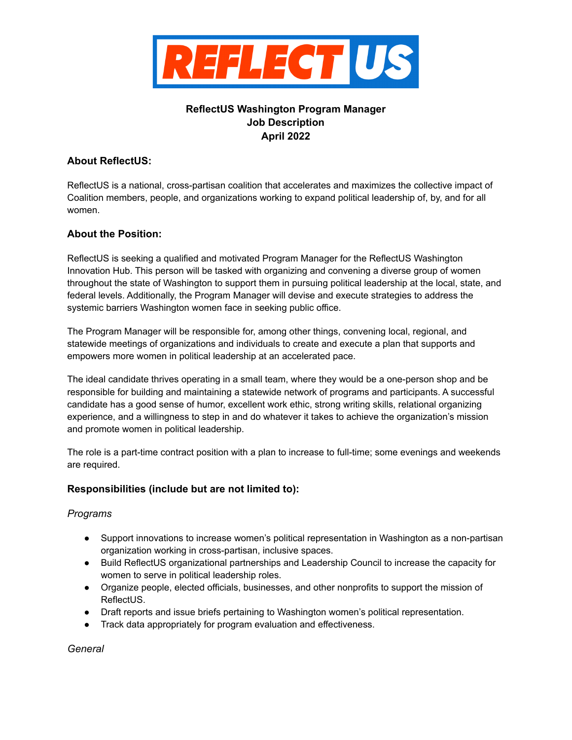

# **ReflectUS Washington Program Manager Job Description April 2022**

### **About ReflectUS:**

ReflectUS is a national, cross-partisan coalition that accelerates and maximizes the collective impact of Coalition members, people, and organizations working to expand political leadership of, by, and for all women.

## **About the Position:**

ReflectUS is seeking a qualified and motivated Program Manager for the ReflectUS Washington Innovation Hub. This person will be tasked with organizing and convening a diverse group of women throughout the state of Washington to support them in pursuing political leadership at the local, state, and federal levels. Additionally, the Program Manager will devise and execute strategies to address the systemic barriers Washington women face in seeking public office.

The Program Manager will be responsible for, among other things, convening local, regional, and statewide meetings of organizations and individuals to create and execute a plan that supports and empowers more women in political leadership at an accelerated pace.

The ideal candidate thrives operating in a small team, where they would be a one-person shop and be responsible for building and maintaining a statewide network of programs and participants. A successful candidate has a good sense of humor, excellent work ethic, strong writing skills, relational organizing experience, and a willingness to step in and do whatever it takes to achieve the organization's mission and promote women in political leadership.

The role is a part-time contract position with a plan to increase to full-time; some evenings and weekends are required.

### **Responsibilities (include but are not limited to):**

### *Programs*

- Support innovations to increase women's political representation in Washington as a non-partisan organization working in cross-partisan, inclusive spaces.
- Build ReflectUS organizational partnerships and Leadership Council to increase the capacity for women to serve in political leadership roles.
- Organize people, elected officials, businesses, and other nonprofits to support the mission of ReflectUS.
- Draft reports and issue briefs pertaining to Washington women's political representation.
- Track data appropriately for program evaluation and effectiveness.

*General*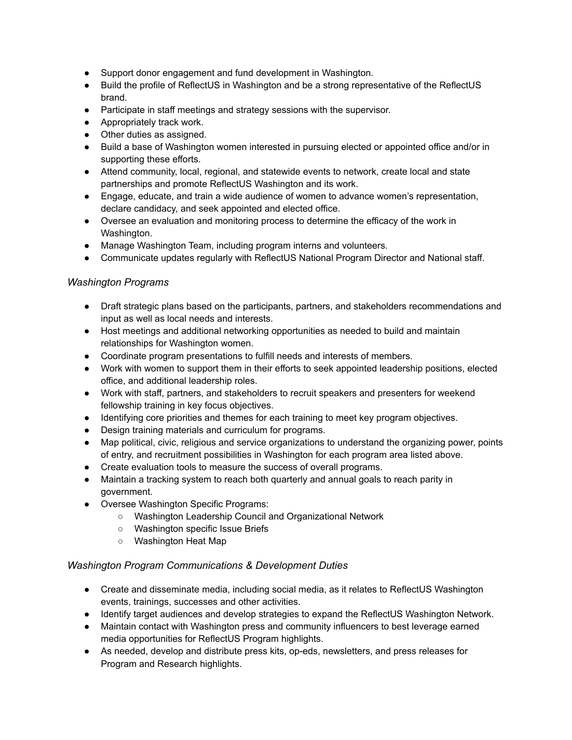- Support donor engagement and fund development in Washington.
- Build the profile of ReflectUS in Washington and be a strong representative of the ReflectUS brand.
- Participate in staff meetings and strategy sessions with the supervisor.
- Appropriately track work.
- Other duties as assigned.
- Build a base of Washington women interested in pursuing elected or appointed office and/or in supporting these efforts.
- Attend community, local, regional, and statewide events to network, create local and state partnerships and promote ReflectUS Washington and its work.
- Engage, educate, and train a wide audience of women to advance women's representation, declare candidacy, and seek appointed and elected office.
- Oversee an evaluation and monitoring process to determine the efficacy of the work in Washington.
- Manage Washington Team, including program interns and volunteers.
- Communicate updates regularly with ReflectUS National Program Director and National staff.

#### *Washington Programs*

- Draft strategic plans based on the participants, partners, and stakeholders recommendations and input as well as local needs and interests.
- Host meetings and additional networking opportunities as needed to build and maintain relationships for Washington women.
- Coordinate program presentations to fulfill needs and interests of members.
- Work with women to support them in their efforts to seek appointed leadership positions, elected office, and additional leadership roles.
- Work with staff, partners, and stakeholders to recruit speakers and presenters for weekend fellowship training in key focus objectives.
- Identifying core priorities and themes for each training to meet key program objectives.
- Design training materials and curriculum for programs.
- Map political, civic, religious and service organizations to understand the organizing power, points of entry, and recruitment possibilities in Washington for each program area listed above.
- Create evaluation tools to measure the success of overall programs.
- Maintain a tracking system to reach both quarterly and annual goals to reach parity in government.
- Oversee Washington Specific Programs:
	- Washington Leadership Council and Organizational Network
	- Washington specific Issue Briefs
	- Washington Heat Map

### *Washington Program Communications & Development Duties*

- Create and disseminate media, including social media, as it relates to ReflectUS Washington events, trainings, successes and other activities.
- Identify target audiences and develop strategies to expand the ReflectUS Washington Network.
- Maintain contact with Washington press and community influencers to best leverage earned media opportunities for ReflectUS Program highlights.
- As needed, develop and distribute press kits, op-eds, newsletters, and press releases for Program and Research highlights.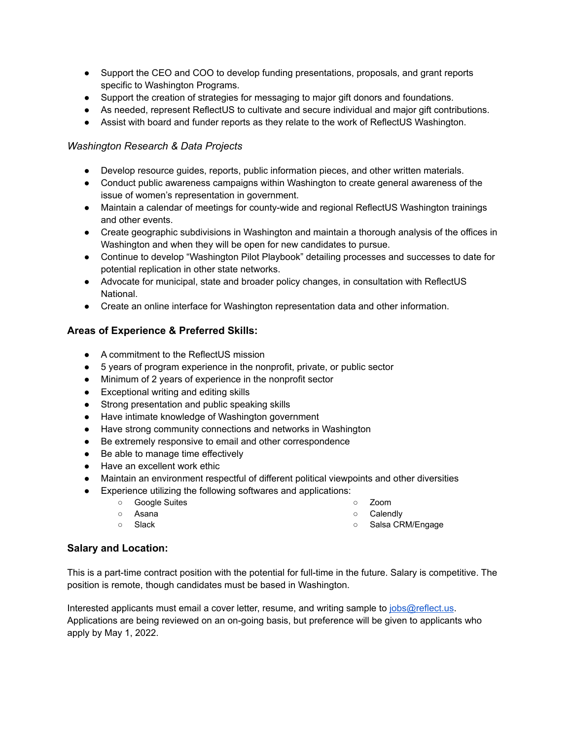- Support the CEO and COO to develop funding presentations, proposals, and grant reports specific to Washington Programs.
- Support the creation of strategies for messaging to major gift donors and foundations.
- As needed, represent ReflectUS to cultivate and secure individual and major gift contributions.
- Assist with board and funder reports as they relate to the work of ReflectUS Washington.

### *Washington Research & Data Projects*

- Develop resource guides, reports, public information pieces, and other written materials.
- Conduct public awareness campaigns within Washington to create general awareness of the issue of women's representation in government.
- Maintain a calendar of meetings for county-wide and regional ReflectUS Washington trainings and other events.
- Create geographic subdivisions in Washington and maintain a thorough analysis of the offices in Washington and when they will be open for new candidates to pursue.
- Continue to develop "Washington Pilot Playbook" detailing processes and successes to date for potential replication in other state networks.
- Advocate for municipal, state and broader policy changes, in consultation with ReflectUS National.
- Create an online interface for Washington representation data and other information.

### **Areas of Experience & Preferred Skills:**

- A commitment to the ReflectUS mission
- 5 years of program experience in the nonprofit, private, or public sector
- Minimum of 2 years of experience in the nonprofit sector
- Exceptional writing and editing skills
- Strong presentation and public speaking skills
- Have intimate knowledge of Washington government
- Have strong community connections and networks in Washington
- Be extremely responsive to email and other correspondence
- Be able to manage time effectively
- Have an excellent work ethic
- Maintain an environment respectful of different political viewpoints and other diversities
- Experience utilizing the following softwares and applications:
	- Google Suites
	- Asana
- 
- Zoom ○ Calendly
- 

○ Slack

○ Salsa CRM/Engage

#### **Salary and Location:**

This is a part-time contract position with the potential for full-time in the future. Salary is competitive. The position is remote, though candidates must be based in Washington.

Interested applicants must email a cover letter, resume, and writing sample to *[jobs@reflect.us](mailto:jobs@reflect.us)*. Applications are being reviewed on an on-going basis, but preference will be given to applicants who apply by May 1, 2022.